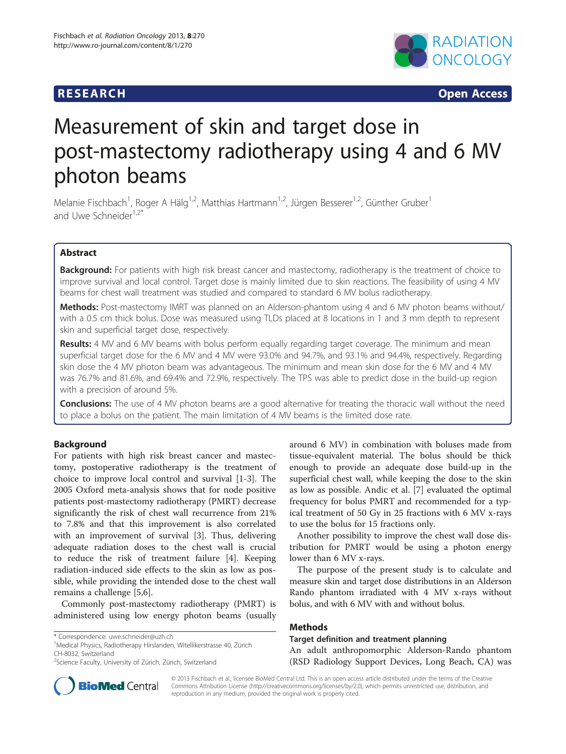## **RESEARCH RESEARCH CONSUMING ACCESS**



# Measurement of skin and target dose in post-mastectomy radiotherapy using 4 and 6 MV photon beams

Melanie Fischbach<sup>1</sup>, Roger A Hälg<sup>1,2</sup>, Matthias Hartmann<sup>1,2</sup>, Jürgen Besserer<sup>1,2</sup>, Günther Gruber<sup>1</sup> and Uwe Schneider<sup>1,2\*</sup>

## Abstract

Background: For patients with high risk breast cancer and mastectomy, radiotherapy is the treatment of choice to improve survival and local control. Target dose is mainly limited due to skin reactions. The feasibility of using 4 MV beams for chest wall treatment was studied and compared to standard 6 MV bolus radiotherapy.

Methods: Post-mastectomy IMRT was planned on an Alderson-phantom using 4 and 6 MV photon beams without/ with a 0.5 cm thick bolus. Dose was measured using TLDs placed at 8 locations in 1 and 3 mm depth to represent skin and superficial target dose, respectively.

**Results:** 4 MV and 6 MV beams with bolus perform equally regarding target coverage. The minimum and mean superficial target dose for the 6 MV and 4 MV were 93.0% and 94.7%, and 93.1% and 94.4%, respectively. Regarding skin dose the 4 MV photon beam was advantageous. The minimum and mean skin dose for the 6 MV and 4 MV was 76.7% and 81.6%, and 69.4% and 72.9%, respectively. The TPS was able to predict dose in the build-up region with a precision of around 5%.

**Conclusions:** The use of 4 MV photon beams are a good alternative for treating the thoracic wall without the need to place a bolus on the patient. The main limitation of 4 MV beams is the limited dose rate.

## Background

For patients with high risk breast cancer and mastectomy, postoperative radiotherapy is the treatment of choice to improve local control and survival [[1-3\]](#page-4-0). The 2005 Oxford meta-analysis shows that for node positive patients post-mastectomy radiotherapy (PMRT) decrease significantly the risk of chest wall recurrence from 21% to 7.8% and that this improvement is also correlated with an improvement of survival [\[3\]](#page-4-0). Thus, delivering adequate radiation doses to the chest wall is crucial to reduce the risk of treatment failure [[4\]](#page-4-0). Keeping radiation-induced side effects to the skin as low as possible, while providing the intended dose to the chest wall remains a challenge [[5,6\]](#page-4-0).

Commonly post-mastectomy radiotherapy (PMRT) is administered using low energy photon beams (usually

<sup>1</sup>Medical Physics, Radiotherapy Hirslanden, Witellikerstrasse 40, Zürich CH-8032, Switzerland

around 6 MV) in combination with boluses made from tissue-equivalent material. The bolus should be thick enough to provide an adequate dose build-up in the superficial chest wall, while keeping the dose to the skin as low as possible. Andic et al. [\[7\]](#page-4-0) evaluated the optimal frequency for bolus PMRT and recommended for a typical treatment of 50 Gy in 25 fractions with 6 MV x-rays to use the bolus for 15 fractions only.

Another possibility to improve the chest wall dose distribution for PMRT would be using a photon energy lower than 6 MV x-rays.

The purpose of the present study is to calculate and measure skin and target dose distributions in an Alderson Rando phantom irradiated with 4 MV x-rays without bolus, and with 6 MV with and without bolus.

## Methods

Target definition and treatment planning

An adult anthropomorphic Alderson-Rando phantom (RSD Radiology Support Devices, Long Beach, CA) was



© 2013 Fischbach et al.; licensee BioMed Central Ltd. This is an open access article distributed under the terms of the Creative Commons Attribution License [\(http://creativecommons.org/licenses/by/2.0\)](http://creativecommons.org/licenses/by/2.0), which permits unrestricted use, distribution, and reproduction in any medium, provided the original work is properly cited.

<sup>\*</sup> Correspondence: [uwe.schneider@uzh.ch](mailto:uwe.schneider@uzh.ch) <sup>1</sup>

<sup>&</sup>lt;sup>2</sup>Science Faculty, University of Zürich, Zürich, Switzerland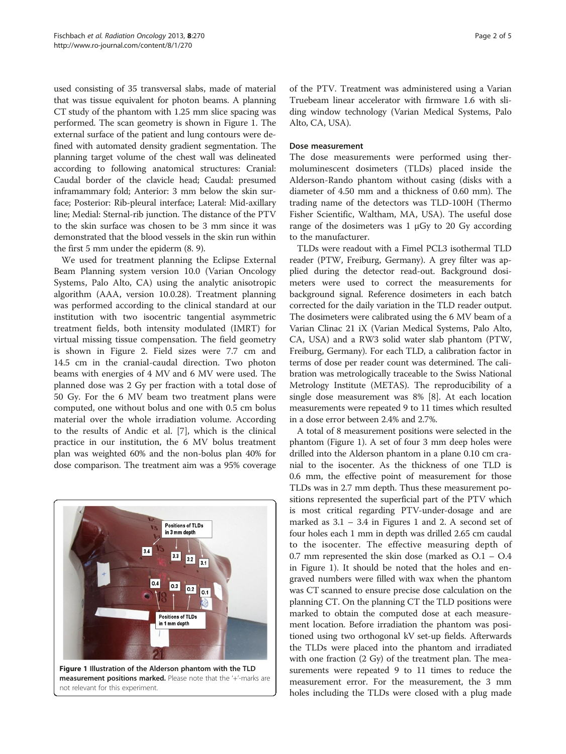used consisting of 35 transversal slabs, made of material that was tissue equivalent for photon beams. A planning CT study of the phantom with 1.25 mm slice spacing was performed. The scan geometry is shown in Figure 1. The external surface of the patient and lung contours were defined with automated density gradient segmentation. The planning target volume of the chest wall was delineated according to following anatomical structures: Cranial: Caudal border of the clavicle head; Caudal: presumed inframammary fold; Anterior: 3 mm below the skin surface; Posterior: Rib-pleural interface; Lateral: Mid-axillary line; Medial: Sternal-rib junction. The distance of the PTV to the skin surface was chosen to be 3 mm since it was demonstrated that the blood vessels in the skin run within the first 5 mm under the epiderm (8. 9).

We used for treatment planning the Eclipse External Beam Planning system version 10.0 (Varian Oncology Systems, Palo Alto, CA) using the analytic anisotropic algorithm (AAA, version 10.0.28). Treatment planning was performed according to the clinical standard at our institution with two isocentric tangential asymmetric treatment fields, both intensity modulated (IMRT) for virtual missing tissue compensation. The field geometry is shown in Figure [2](#page-2-0). Field sizes were 7.7 cm and 14.5 cm in the cranial-caudal direction. Two photon beams with energies of 4 MV and 6 MV were used. The planned dose was 2 Gy per fraction with a total dose of 50 Gy. For the 6 MV beam two treatment plans were computed, one without bolus and one with 0.5 cm bolus material over the whole irradiation volume. According to the results of Andic et al. [\[7](#page-4-0)], which is the clinical practice in our institution, the 6 MV bolus treatment plan was weighted 60% and the non-bolus plan 40% for dose comparison. The treatment aim was a 95% coverage



of the PTV. Treatment was administered using a Varian Truebeam linear accelerator with firmware 1.6 with sliding window technology (Varian Medical Systems, Palo Alto, CA, USA).

### Dose measurement

The dose measurements were performed using thermoluminescent dosimeters (TLDs) placed inside the Alderson-Rando phantom without casing (disks with a diameter of 4.50 mm and a thickness of 0.60 mm). The trading name of the detectors was TLD-100H (Thermo Fisher Scientific, Waltham, MA, USA). The useful dose range of the dosimeters was  $1 \mu Gy$  to 20 Gy according to the manufacturer.

TLDs were readout with a Fimel PCL3 isothermal TLD reader (PTW, Freiburg, Germany). A grey filter was applied during the detector read-out. Background dosimeters were used to correct the measurements for background signal. Reference dosimeters in each batch corrected for the daily variation in the TLD reader output. The dosimeters were calibrated using the 6 MV beam of a Varian Clinac 21 iX (Varian Medical Systems, Palo Alto, CA, USA) and a RW3 solid water slab phantom (PTW, Freiburg, Germany). For each TLD, a calibration factor in terms of dose per reader count was determined. The calibration was metrologically traceable to the Swiss National Metrology Institute (METAS). The reproducibility of a single dose measurement was 8% [[8\]](#page-4-0). At each location measurements were repeated 9 to 11 times which resulted in a dose error between 2.4% and 2.7%.

A total of 8 measurement positions were selected in the phantom (Figure 1). A set of four 3 mm deep holes were drilled into the Alderson phantom in a plane 0.10 cm cranial to the isocenter. As the thickness of one TLD is 0.6 mm, the effective point of measurement for those TLDs was in 2.7 mm depth. Thus these measurement positions represented the superficial part of the PTV which is most critical regarding PTV-under-dosage and are marked as  $3.1 - 3.4$  in Figures 1 and [2.](#page-2-0) A second set of four holes each 1 mm in depth was drilled 2.65 cm caudal to the isocenter. The effective measuring depth of 0.7 mm represented the skin dose (marked as O.1 – O.4 in Figure 1). It should be noted that the holes and engraved numbers were filled with wax when the phantom was CT scanned to ensure precise dose calculation on the planning CT. On the planning CT the TLD positions were marked to obtain the computed dose at each measurement location. Before irradiation the phantom was positioned using two orthogonal kV set-up fields. Afterwards the TLDs were placed into the phantom and irradiated with one fraction (2 Gy) of the treatment plan. The measurements were repeated 9 to 11 times to reduce the measurement error. For the measurement, the 3 mm holes including the TLDs were closed with a plug made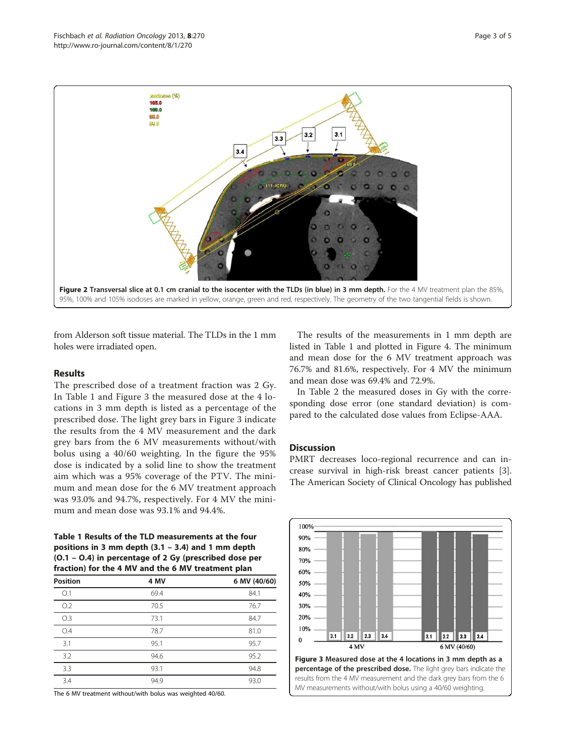<span id="page-2-0"></span>

from Alderson soft tissue material. The TLDs in the 1 mm holes were irradiated open.

## Results

The prescribed dose of a treatment fraction was 2 Gy. In Table 1 and Figure 3 the measured dose at the 4 locations in 3 mm depth is listed as a percentage of the prescribed dose. The light grey bars in Figure 3 indicate the results from the 4 MV measurement and the dark grey bars from the 6 MV measurements without/with bolus using a 40/60 weighting. In the figure the 95% dose is indicated by a solid line to show the treatment aim which was a 95% coverage of the PTV. The minimum and mean dose for the 6 MV treatment approach was 93.0% and 94.7%, respectively. For 4 MV the minimum and mean dose was 93.1% and 94.4%.

Table 1 Results of the TLD measurements at the four positions in 3 mm depth (3.1 – 3.4) and 1 mm depth (O.1 – O.4) in percentage of 2 Gy (prescribed dose per fraction) for the 4 MV and the 6 MV treatment plan

| <b>Position</b> | 4 MV | 6 MV (40/60) |
|-----------------|------|--------------|
| O.1             | 69.4 | 84.1         |
| O.2             | 70.5 | 76.7         |
| O.3             | 73.1 | 84.7         |
| O.4             | 78.7 | 81.0         |
| 3.1             | 95.1 | 95.7         |
| 3.2             | 94.6 | 95.2         |
| 3.3             | 93.1 | 94.8         |
| 3.4             | 94.9 | 93.0         |

The 6 MV treatment without/with bolus was weighted 40/60.

The results of the measurements in 1 mm depth are listed in Table 1 and plotted in Figure [4.](#page-3-0) The minimum and mean dose for the 6 MV treatment approach was 76.7% and 81.6%, respectively. For 4 MV the minimum and mean dose was 69.4% and 72.9%.

In Table [2](#page-3-0) the measured doses in Gy with the corresponding dose error (one standard deviation) is compared to the calculated dose values from Eclipse-AAA.

#### **Discussion**

PMRT decreases loco-regional recurrence and can increase survival in high-risk breast cancer patients [\[3](#page-4-0)]. The American Society of Clinical Oncology has published

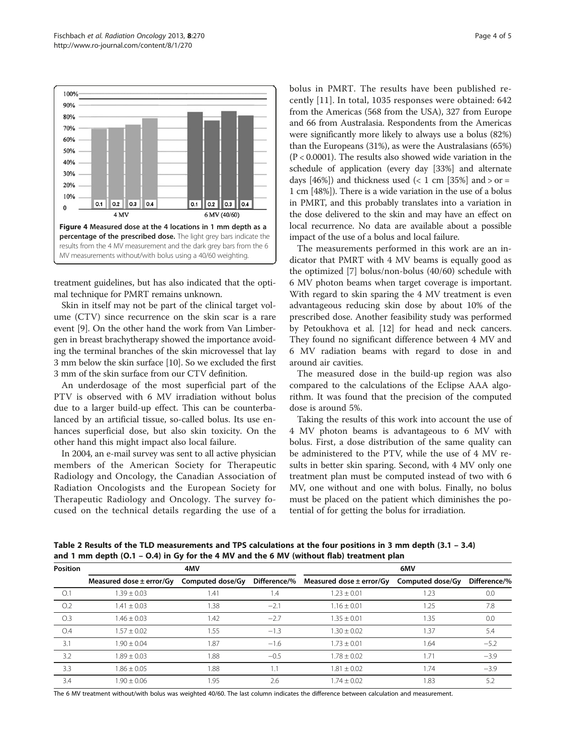<span id="page-3-0"></span>

treatment guidelines, but has also indicated that the optimal technique for PMRT remains unknown.

Skin in itself may not be part of the clinical target volume (CTV) since recurrence on the skin scar is a rare event [[9](#page-4-0)]. On the other hand the work from Van Limbergen in breast brachytherapy showed the importance avoiding the terminal branches of the skin microvessel that lay 3 mm below the skin surface [[10](#page-4-0)]. So we excluded the first 3 mm of the skin surface from our CTV definition.

An underdosage of the most superficial part of the PTV is observed with 6 MV irradiation without bolus due to a larger build-up effect. This can be counterbalanced by an artificial tissue, so-called bolus. Its use enhances superficial dose, but also skin toxicity. On the other hand this might impact also local failure.

In 2004, an e-mail survey was sent to all active physician members of the American Society for Therapeutic Radiology and Oncology, the Canadian Association of Radiation Oncologists and the European Society for Therapeutic Radiology and Oncology. The survey focused on the technical details regarding the use of a bolus in PMRT. The results have been published recently [\[11\]](#page-4-0). In total, 1035 responses were obtained: 642 from the Americas (568 from the USA), 327 from Europe and 66 from Australasia. Respondents from the Americas were significantly more likely to always use a bolus (82%) than the Europeans (31%), as were the Australasians (65%) (P < 0.0001). The results also showed wide variation in the schedule of application (every day [33%] and alternate days [46%]) and thickness used  $(< 1 \text{ cm}$  [35%] and  $>$  or = 1 cm [48%]). There is a wide variation in the use of a bolus in PMRT, and this probably translates into a variation in the dose delivered to the skin and may have an effect on local recurrence. No data are available about a possible impact of the use of a bolus and local failure.

The measurements performed in this work are an indicator that PMRT with 4 MV beams is equally good as the optimized [[7\]](#page-4-0) bolus/non-bolus (40/60) schedule with 6 MV photon beams when target coverage is important. With regard to skin sparing the 4 MV treatment is even advantageous reducing skin dose by about 10% of the prescribed dose. Another feasibility study was performed by Petoukhova et al. [\[12](#page-4-0)] for head and neck cancers. They found no significant difference between 4 MV and 6 MV radiation beams with regard to dose in and around air cavities.

The measured dose in the build-up region was also compared to the calculations of the Eclipse AAA algorithm. It was found that the precision of the computed dose is around 5%.

Taking the results of this work into account the use of 4 MV photon beams is advantageous to 6 MV with bolus. First, a dose distribution of the same quality can be administered to the PTV, while the use of 4 MV results in better skin sparing. Second, with 4 MV only one treatment plan must be computed instead of two with 6 MV, one without and one with bolus. Finally, no bolus must be placed on the patient which diminishes the potential of for getting the bolus for irradiation.

Table 2 Results of the TLD measurements and TPS calculations at the four positions in 3 mm depth (3.1 – 3.4) and 1 mm depth (O.1 – O.4) in Gy for the 4 MV and the 6 MV (without flab) treatment plan

| <b>Position</b> | 4MV                                           |      |        | 6MV                                                    |      |              |
|-----------------|-----------------------------------------------|------|--------|--------------------------------------------------------|------|--------------|
|                 | Measured dose $\pm$ error/Gy Computed dose/Gy |      |        | Difference/% Measured dose ± error/Gy Computed dose/Gy |      | Difference/% |
| O.1             | $.39 \pm 0.03$                                | 1.41 | 1.4    | $1.23 \pm 0.01$                                        | 1.23 | 0.0          |
| O.2             | $1.41 \pm 0.03$                               | 1.38 | $-2.1$ | $1.16 \pm 0.01$                                        | 1.25 | 7.8          |
| O.3             | $1.46 + 0.03$                                 | 1.42 | $-2.7$ | $1.35 \pm 0.01$                                        | 1.35 | 0.0          |
| O.4             | $1.57 + 0.02$                                 | 1.55 | $-1.3$ | $1.30 \pm 0.02$                                        | 1.37 | 5.4          |
| 3.1             | $1.90 \pm 0.04$                               | 1.87 | $-1.6$ | $1.73 \pm 0.01$                                        | 1.64 | $-5.2$       |
| 3.2             | $1.89 + 0.03$                                 | 1.88 | $-0.5$ | $1.78 \pm 0.02$                                        | 1.71 | $-3.9$       |
| 3.3             | $1.86 \pm 0.05$                               | .88  | 1.1    | $1.81 \pm 0.02$                                        | 1.74 | $-3.9$       |
| 3.4             | $.90 + 0.06$                                  | 1.95 | 2.6    | $1.74 \pm 0.02$                                        | 1.83 | 5.2          |

The 6 MV treatment without/with bolus was weighted 40/60. The last column indicates the difference between calculation and measurement.